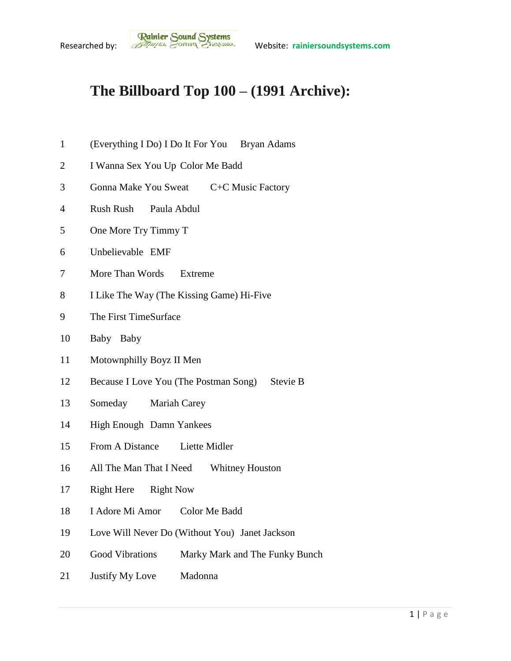## **The Billboard Top 100 – (1991 Archive):**

- (Everything I Do) I Do It For You Bryan Adams
- I Wanna Sex You Up Color Me Badd
- Gonna Make You Sweat C+C Music Factory
- Rush Rush Paula Abdul
- One More Try Timmy T
- Unbelievable EMF
- More Than Words Extreme
- I Like The Way (The Kissing Game) Hi-Five
- The First TimeSurface
- Baby Baby
- Motownphilly Boyz II Men
- 12 Because I Love You (The Postman Song) Stevie B
- Someday Mariah Carey
- High Enough Damn Yankees
- From A Distance Liette Midler
- All The Man That I Need Whitney Houston
- Right Here Right Now
- I Adore Mi Amor Color Me Badd
- Love Will Never Do (Without You) Janet Jackson
- Good Vibrations Marky Mark and The Funky Bunch
- Justify My Love Madonna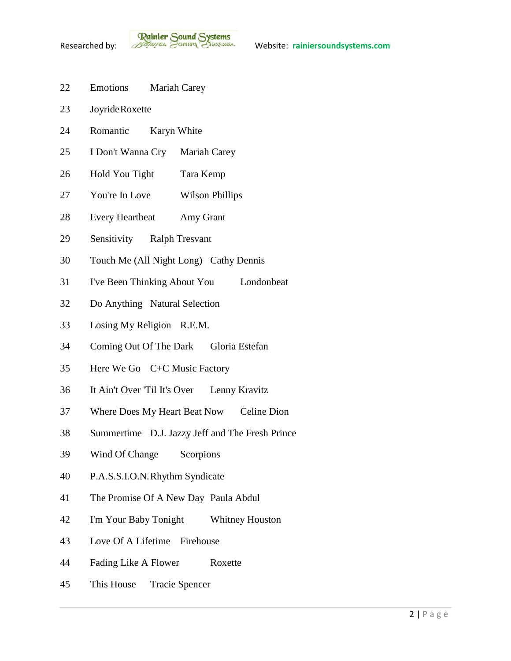- Emotions Mariah Carey
- JoyrideRoxette
- Romantic Karyn White
- I Don't Wanna Cry Mariah Carey
- Hold You Tight Tara Kemp
- You're In Love Wilson Phillips
- Every Heartbeat Amy Grant
- Sensitivity Ralph Tresvant
- Touch Me (All Night Long) Cathy Dennis
- I've Been Thinking About You Londonbeat
- Do Anything Natural Selection
- Losing My Religion R.E.M.
- Coming Out Of The Dark Gloria Estefan
- Here We Go C+C Music Factory
- It Ain't Over 'Til It's Over Lenny Kravitz
- Where Does My Heart Beat Now Celine Dion
- Summertime D.J. Jazzy Jeff and The Fresh Prince
- Wind Of Change Scorpions
- P.A.S.S.I.O.N.Rhythm Syndicate
- The Promise Of A New Day Paula Abdul
- I'm Your Baby Tonight Whitney Houston
- Love Of A Lifetime Firehouse
- Fading Like A Flower Roxette
- This House Tracie Spencer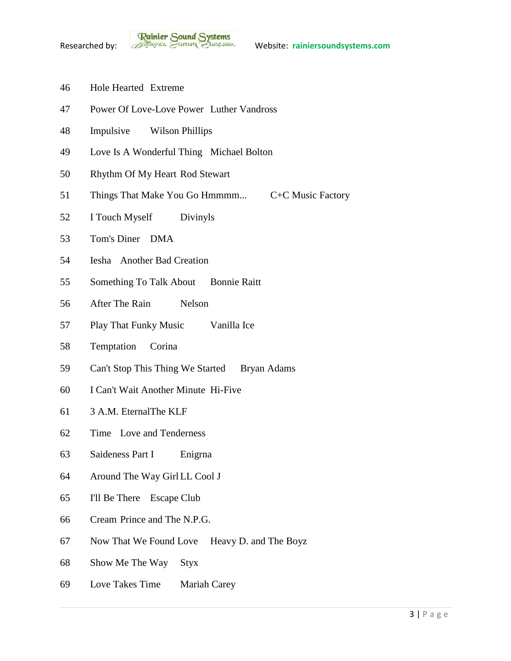- Hole Hearted Extreme
- Power Of Love-Love Power Luther Vandross
- Impulsive Wilson Phillips
- Love Is A Wonderful Thing Michael Bolton
- Rhythm Of My Heart Rod Stewart
- 51 Things That Make You Go Hmmmm... C+C Music Factory
- I Touch Myself Divinyls
- Tom's Diner DMA
- Iesha Another Bad Creation
- Something To Talk About Bonnie Raitt
- After The Rain Nelson
- Play That Funky Music Vanilla Ice
- Temptation Corina
- Can't Stop This Thing We Started Bryan Adams
- I Can't Wait Another Minute Hi-Five
- 3 A.M. EternalThe KLF
- Time Love and Tenderness
- Saideness Part I Enigrna
- Around The Way Girl LL Cool J
- I'll Be There Escape Club
- Cream Prince and The N.P.G.
- Now That We Found Love Heavy D. and The Boyz
- Show Me The Way Styx
- Love Takes Time Mariah Carey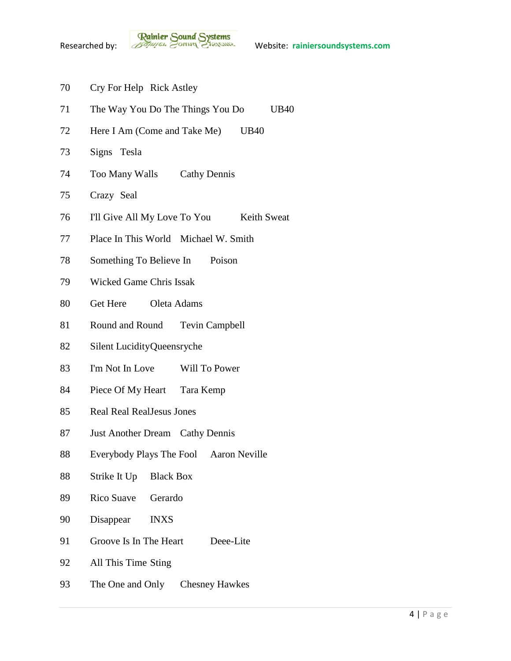- Cry For Help Rick Astley
- The Way You Do The Things You Do UB40
- 72 Here I Am (Come and Take Me) UB40
- Signs Tesla
- Too Many Walls Cathy Dennis
- Crazy Seal
- 76 I'll Give All My Love To You Keith Sweat
- Place In This World Michael W. Smith
- Something To Believe In Poison
- Wicked Game Chris Issak
- Get Here Oleta Adams
- Round and Round Tevin Campbell
- Silent LucidityQueensryche
- I'm Not In Love Will To Power
- Piece Of My Heart Tara Kemp
- Real Real RealJesus Jones
- Just Another Dream Cathy Dennis
- Everybody Plays The Fool Aaron Neville
- Strike It Up Black Box
- Rico Suave Gerardo
- Disappear INXS
- 91 Groove Is In The Heart Deee-Lite
- All This Time Sting
- The One and Only Chesney Hawkes